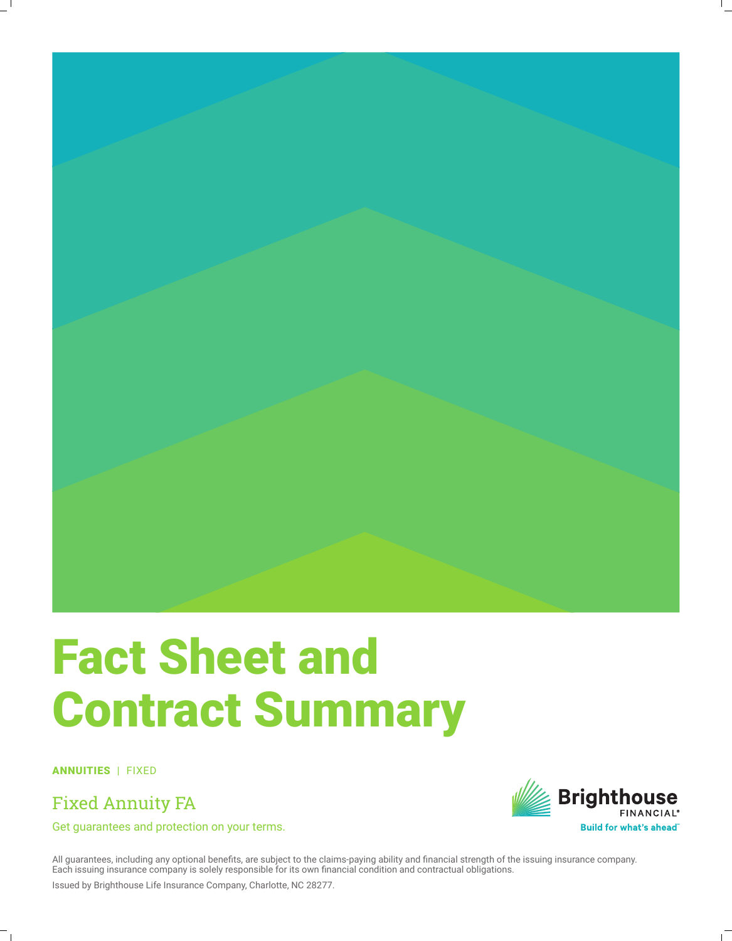

## Fact Sheet and Contract Summary

ANNUITIES | FIXED

Fixed Annuity FA

Get guarantees and protection on your terms.



All guarantees, including any optional benefits, are subject to the claims-paying ability and financial strength of the issuing insurance company. Each issuing insurance company is solely responsible for its own financial condition and contractual obligations.

Issued by Brighthouse Life Insurance Company, Charlotte, NC 28277.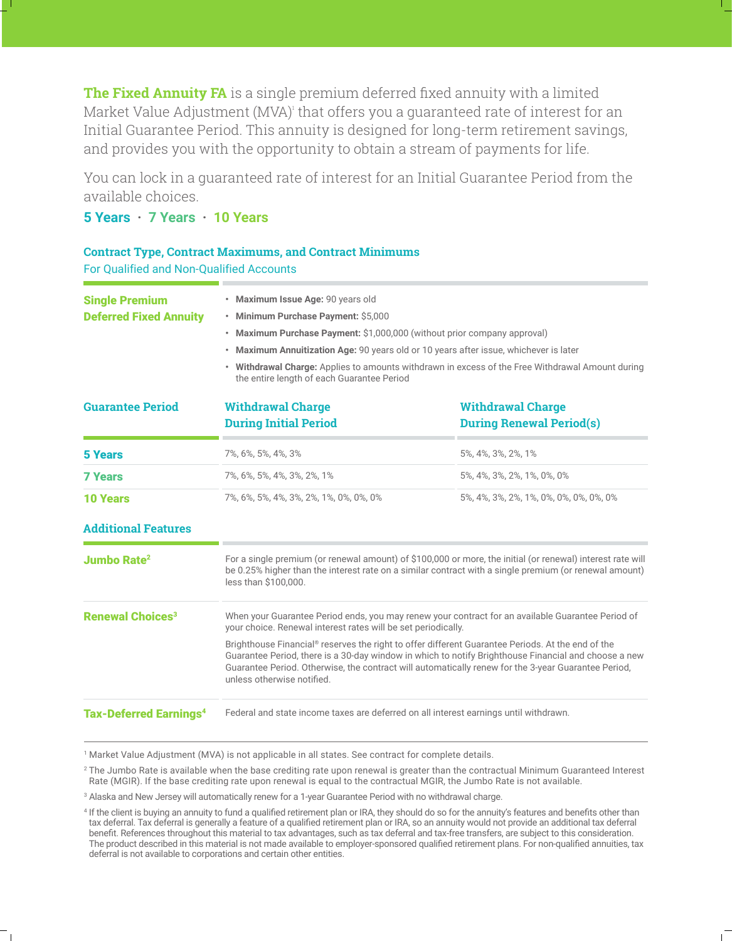**The Fixed Annuity FA** is a single premium deferred fixed annuity with a limited Market Value Adjustment (MVA)<sup>,</sup> that offers you a guaranteed rate of interest for an Initial Guarantee Period. This annuity is designed for long-term retirement savings, and provides you with the opportunity to obtain a stream of payments for life.

You can lock in a guaranteed rate of interest for an Initial Guarantee Period from the available choices.

## **5 Years · 7 Years · 10 Years**

## **Contract Type, Contract Maximums, and Contract Minimums** For Qualified and Non-Qualified Accounts

|                                                        | · Maximum Issue Age: 90 years old                                                                                                                                                                                                                                                                                                              |                                        |                                 |                                                                                                                                                                                                                                         |  |
|--------------------------------------------------------|------------------------------------------------------------------------------------------------------------------------------------------------------------------------------------------------------------------------------------------------------------------------------------------------------------------------------------------------|----------------------------------------|---------------------------------|-----------------------------------------------------------------------------------------------------------------------------------------------------------------------------------------------------------------------------------------|--|
| <b>Single Premium</b><br><b>Deferred Fixed Annuity</b> | • Minimum Purchase Payment: \$5,000<br>• Maximum Purchase Payment: \$1,000,000 (without prior company approval)                                                                                                                                                                                                                                |                                        |                                 |                                                                                                                                                                                                                                         |  |
|                                                        |                                                                                                                                                                                                                                                                                                                                                |                                        |                                 | • Maximum Annuitization Age: 90 years old or 10 years after issue, whichever is later<br>• Withdrawal Charge: Applies to amounts withdrawn in excess of the Free Withdrawal Amount during<br>the entire length of each Guarantee Period |  |
|                                                        |                                                                                                                                                                                                                                                                                                                                                |                                        |                                 |                                                                                                                                                                                                                                         |  |
|                                                        |                                                                                                                                                                                                                                                                                                                                                | <b>During Initial Period</b>           | <b>During Renewal Period(s)</b> |                                                                                                                                                                                                                                         |  |
|                                                        | <b>5 Years</b>                                                                                                                                                                                                                                                                                                                                 | 7%, 6%, 5%, 4%, 3%                     | 5%, 4%, 3%, 2%, 1%              |                                                                                                                                                                                                                                         |  |
| <b>7 Years</b>                                         | 7%, 6%, 5%, 4%, 3%, 2%, 1%                                                                                                                                                                                                                                                                                                                     | 5%, 4%, 3%, 2%, 1%, 0%, 0%             |                                 |                                                                                                                                                                                                                                         |  |
| <b>10 Years</b>                                        | 7%, 6%, 5%, 4%, 3%, 2%, 1%, 0%, 0%, 0%                                                                                                                                                                                                                                                                                                         | 5%, 4%, 3%, 2%, 1%, 0%, 0%, 0%, 0%, 0% |                                 |                                                                                                                                                                                                                                         |  |
| <b>Additional Features</b>                             |                                                                                                                                                                                                                                                                                                                                                |                                        |                                 |                                                                                                                                                                                                                                         |  |
| <b>Jumbo Rate<sup>2</sup></b>                          | For a single premium (or renewal amount) of \$100,000 or more, the initial (or renewal) interest rate will<br>be 0.25% higher than the interest rate on a similar contract with a single premium (or renewal amount)<br>less than \$100,000.                                                                                                   |                                        |                                 |                                                                                                                                                                                                                                         |  |
| <b>Renewal Choices<sup>3</sup></b>                     | When your Guarantee Period ends, you may renew your contract for an available Guarantee Period of<br>your choice. Renewal interest rates will be set periodically.                                                                                                                                                                             |                                        |                                 |                                                                                                                                                                                                                                         |  |
|                                                        | Brighthouse Financial® reserves the right to offer different Guarantee Periods. At the end of the<br>Guarantee Period, there is a 30-day window in which to notify Brighthouse Financial and choose a new<br>Guarantee Period. Otherwise, the contract will automatically renew for the 3-year Guarantee Period,<br>unless otherwise notified. |                                        |                                 |                                                                                                                                                                                                                                         |  |
| <b>Tax-Deferred Earnings<sup>4</sup></b>               | Federal and state income taxes are deferred on all interest earnings until withdrawn.                                                                                                                                                                                                                                                          |                                        |                                 |                                                                                                                                                                                                                                         |  |

<sup>1</sup> Market Value Adjustment (MVA) is not applicable in all states. See contract for complete details.

3 Alaska and New Jersey will automatically renew for a 1-year Guarantee Period with no withdrawal charge.

<sup>&</sup>lt;sup>2</sup> The Jumbo Rate is available when the base crediting rate upon renewal is greater than the contractual Minimum Guaranteed Interest Rate (MGIR). If the base crediting rate upon renewal is equal to the contractual MGIR, the Jumbo Rate is not available.

<sup>4</sup> If the client is buying an annuity to fund a qualified retirement plan or IRA, they should do so for the annuity's features and benefits other than tax deferral. Tax deferral is generally a feature of a qualified retirement plan or IRA, so an annuity would not provide an additional tax deferral benefit. References throughout this material to tax advantages, such as tax deferral and tax-free transfers, are subject to this consideration. The product described in this material is not made available to employer-sponsored qualified retirement plans. For non-qualified annuities, tax deferral is not available to corporations and certain other entities.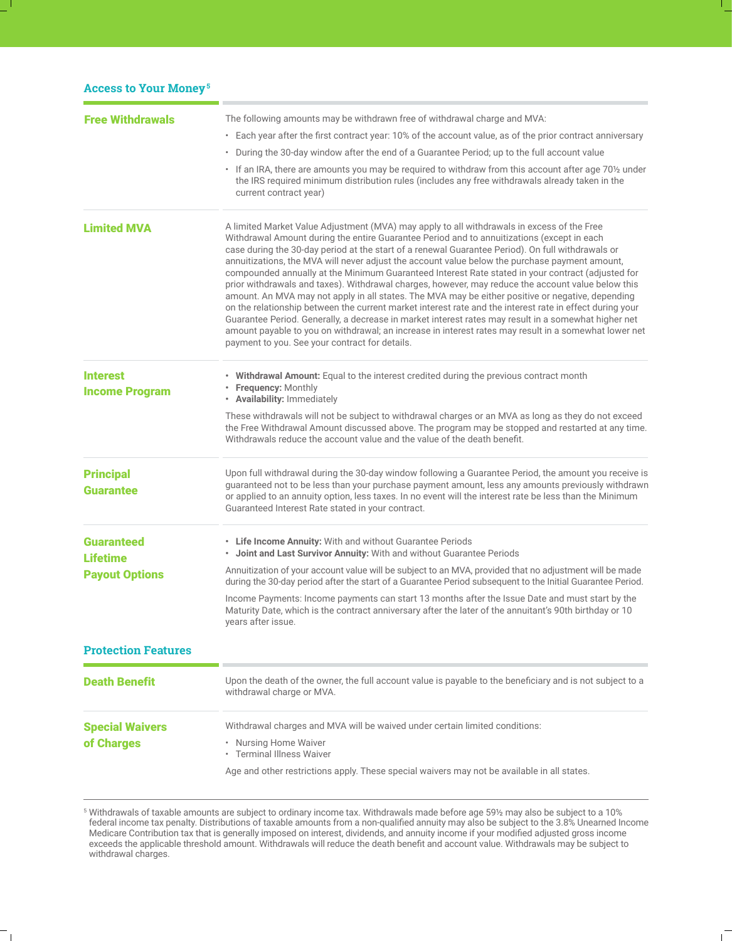| <b>Access to Your Money<sup>5</sup></b>  |                                                                                                                                                                                                                                                                                                                                                                                                                                                                                                                                                                                                                                                                                                                                                                                                                                                                                                                                                                                                                                                                                                |  |
|------------------------------------------|------------------------------------------------------------------------------------------------------------------------------------------------------------------------------------------------------------------------------------------------------------------------------------------------------------------------------------------------------------------------------------------------------------------------------------------------------------------------------------------------------------------------------------------------------------------------------------------------------------------------------------------------------------------------------------------------------------------------------------------------------------------------------------------------------------------------------------------------------------------------------------------------------------------------------------------------------------------------------------------------------------------------------------------------------------------------------------------------|--|
| <b>Free Withdrawals</b>                  | The following amounts may be withdrawn free of withdrawal charge and MVA:                                                                                                                                                                                                                                                                                                                                                                                                                                                                                                                                                                                                                                                                                                                                                                                                                                                                                                                                                                                                                      |  |
|                                          | • Each year after the first contract year: 10% of the account value, as of the prior contract anniversary                                                                                                                                                                                                                                                                                                                                                                                                                                                                                                                                                                                                                                                                                                                                                                                                                                                                                                                                                                                      |  |
|                                          | . During the 30-day window after the end of a Guarantee Period; up to the full account value                                                                                                                                                                                                                                                                                                                                                                                                                                                                                                                                                                                                                                                                                                                                                                                                                                                                                                                                                                                                   |  |
|                                          | If an IRA, there are amounts you may be required to withdraw from this account after age 701/2 under<br>the IRS required minimum distribution rules (includes any free withdrawals already taken in the<br>current contract year)                                                                                                                                                                                                                                                                                                                                                                                                                                                                                                                                                                                                                                                                                                                                                                                                                                                              |  |
| <b>Limited MVA</b>                       | A limited Market Value Adjustment (MVA) may apply to all withdrawals in excess of the Free<br>Withdrawal Amount during the entire Guarantee Period and to annuitizations (except in each<br>case during the 30-day period at the start of a renewal Guarantee Period). On full withdrawals or<br>annuitizations, the MVA will never adjust the account value below the purchase payment amount,<br>compounded annually at the Minimum Guaranteed Interest Rate stated in your contract (adjusted for<br>prior withdrawals and taxes). Withdrawal charges, however, may reduce the account value below this<br>amount. An MVA may not apply in all states. The MVA may be either positive or negative, depending<br>on the relationship between the current market interest rate and the interest rate in effect during your<br>Guarantee Period. Generally, a decrease in market interest rates may result in a somewhat higher net<br>amount payable to you on withdrawal; an increase in interest rates may result in a somewhat lower net<br>payment to you. See your contract for details. |  |
| <b>Interest</b><br><b>Income Program</b> | • Withdrawal Amount: Equal to the interest credited during the previous contract month<br>• Frequency: Monthly<br>• Availability: Immediately                                                                                                                                                                                                                                                                                                                                                                                                                                                                                                                                                                                                                                                                                                                                                                                                                                                                                                                                                  |  |
|                                          | These withdrawals will not be subject to withdrawal charges or an MVA as long as they do not exceed<br>the Free Withdrawal Amount discussed above. The program may be stopped and restarted at any time.<br>Withdrawals reduce the account value and the value of the death benefit.                                                                                                                                                                                                                                                                                                                                                                                                                                                                                                                                                                                                                                                                                                                                                                                                           |  |
| <b>Principal</b><br><b>Guarantee</b>     | Upon full withdrawal during the 30-day window following a Guarantee Period, the amount you receive is<br>guaranteed not to be less than your purchase payment amount, less any amounts previously withdrawn<br>or applied to an annuity option, less taxes. In no event will the interest rate be less than the Minimum<br>Guaranteed Interest Rate stated in your contract.                                                                                                                                                                                                                                                                                                                                                                                                                                                                                                                                                                                                                                                                                                                   |  |
| <b>Guaranteed</b><br><b>Lifetime</b>     | • Life Income Annuity: With and without Guarantee Periods<br>• Joint and Last Survivor Annuity: With and without Guarantee Periods                                                                                                                                                                                                                                                                                                                                                                                                                                                                                                                                                                                                                                                                                                                                                                                                                                                                                                                                                             |  |
| <b>Payout Options</b>                    | Annuitization of your account value will be subject to an MVA, provided that no adjustment will be made<br>during the 30-day period after the start of a Guarantee Period subsequent to the Initial Guarantee Period.                                                                                                                                                                                                                                                                                                                                                                                                                                                                                                                                                                                                                                                                                                                                                                                                                                                                          |  |
|                                          | Income Payments: Income payments can start 13 months after the Issue Date and must start by the<br>Maturity Date, which is the contract anniversary after the later of the annuitant's 90th birthday or 10<br>years after issue.                                                                                                                                                                                                                                                                                                                                                                                                                                                                                                                                                                                                                                                                                                                                                                                                                                                               |  |
| <b>Protection Features</b>               |                                                                                                                                                                                                                                                                                                                                                                                                                                                                                                                                                                                                                                                                                                                                                                                                                                                                                                                                                                                                                                                                                                |  |
| <b>Death Benefit</b>                     | Upon the death of the owner, the full account value is payable to the beneficiary and is not subject to a<br>withdrawal charge or MVA.                                                                                                                                                                                                                                                                                                                                                                                                                                                                                                                                                                                                                                                                                                                                                                                                                                                                                                                                                         |  |
| <b>Special Waivers</b>                   | Withdrawal charges and MVA will be waived under certain limited conditions:                                                                                                                                                                                                                                                                                                                                                                                                                                                                                                                                                                                                                                                                                                                                                                                                                                                                                                                                                                                                                    |  |
| of Charges                               | • Nursing Home Waiver<br>• Terminal Illness Waiver                                                                                                                                                                                                                                                                                                                                                                                                                                                                                                                                                                                                                                                                                                                                                                                                                                                                                                                                                                                                                                             |  |
|                                          | Age and other restrictions apply. These special waivers may not be available in all states.                                                                                                                                                                                                                                                                                                                                                                                                                                                                                                                                                                                                                                                                                                                                                                                                                                                                                                                                                                                                    |  |

 $^5$  Withdrawals of taxable amounts are subject to ordinary income tax. Withdrawals made before age 59½ may also be subject to a 10% federal income tax penalty. Distributions of taxable amounts from a non-qualified annuity may also be subject to the 3.8% Unearned Income Medicare Contribution tax that is generally imposed on interest, dividends, and annuity income if your modified adjusted gross income exceeds the applicable threshold amount. Withdrawals will reduce the death benefit and account value. Withdrawals may be subject to withdrawal charges.